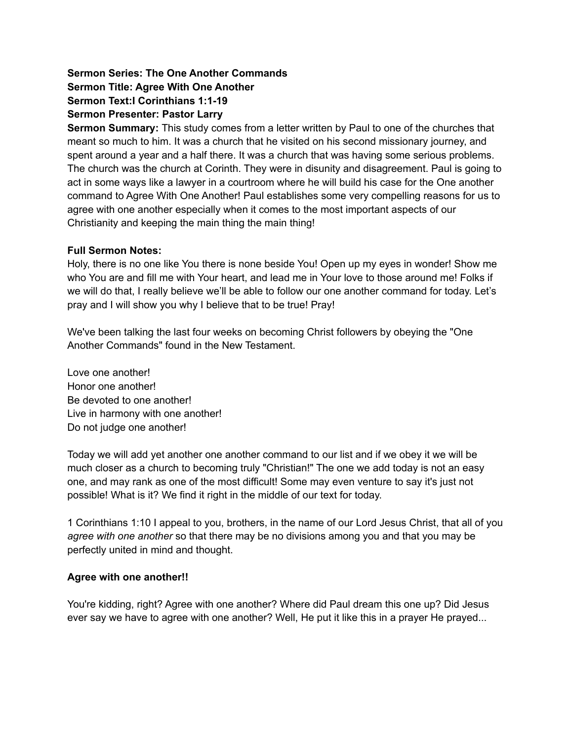# **Sermon Series: The One Another Commands Sermon Title: Agree With One Another Sermon Text:I Corinthians 1:1-19 Sermon Presenter: Pastor Larry**

**Sermon Summary:** This study comes from a letter written by Paul to one of the churches that meant so much to him. It was a church that he visited on his second missionary journey, and spent around a year and a half there. It was a church that was having some serious problems. The church was the church at Corinth. They were in disunity and disagreement. Paul is going to act in some ways like a lawyer in a courtroom where he will build his case for the One another command to Agree With One Another! Paul establishes some very compelling reasons for us to agree with one another especially when it comes to the most important aspects of our Christianity and keeping the main thing the main thing!

#### **Full Sermon Notes:**

Holy, there is no one like You there is none beside You! Open up my eyes in wonder! Show me who You are and fill me with Your heart, and lead me in Your love to those around me! Folks if we will do that, I really believe we'll be able to follow our one another command for today. Let's pray and I will show you why I believe that to be true! Pray!

We've been talking the last four weeks on becoming Christ followers by obeying the "One Another Commands" found in the New Testament.

Love one another! Honor one another! Be devoted to one another! Live in harmony with one another! Do not judge one another!

Today we will add yet another one another command to our list and if we obey it we will be much closer as a church to becoming truly "Christian!" The one we add today is not an easy one, and may rank as one of the most difficult! Some may even venture to say it's just not possible! What is it? We find it right in the middle of our text for today.

1 Corinthians 1:10 I appeal to you, brothers, in the name of our Lord Jesus Christ, that all of you *agree with one another* so that there may be no divisions among you and that you may be perfectly united in mind and thought.

#### **Agree with one another!!**

You're kidding, right? Agree with one another? Where did Paul dream this one up? Did Jesus ever say we have to agree with one another? Well, He put it like this in a prayer He prayed...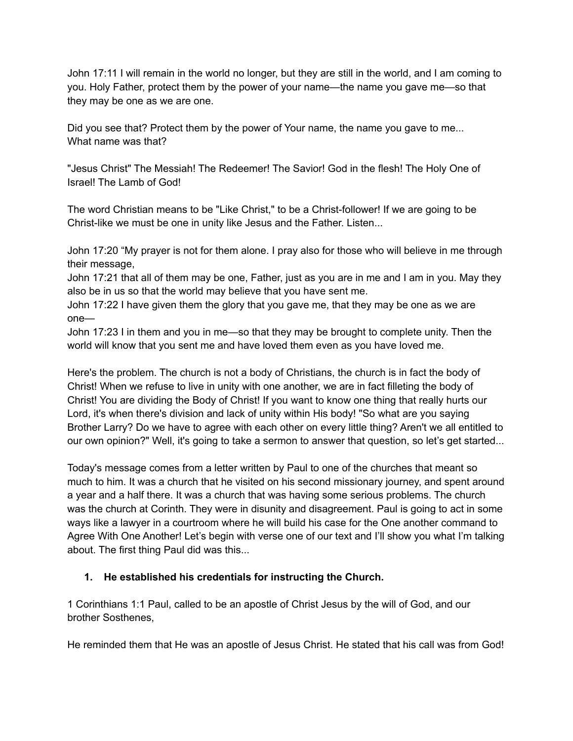John 17:11 I will remain in the world no longer, but they are still in the world, and I am coming to you. Holy Father, protect them by the power of your name—the name you gave me—so that they may be one as we are one.

Did you see that? Protect them by the power of Your name, the name you gave to me... What name was that?

"Jesus Christ" The Messiah! The Redeemer! The Savior! God in the flesh! The Holy One of Israel! The Lamb of God!

The word Christian means to be "Like Christ," to be a Christ-follower! If we are going to be Christ-like we must be one in unity like Jesus and the Father. Listen...

John 17:20 "My prayer is not for them alone. I pray also for those who will believe in me through their message,

John 17:21 that all of them may be one, Father, just as you are in me and I am in you. May they also be in us so that the world may believe that you have sent me.

John 17:22 I have given them the glory that you gave me, that they may be one as we are one—

John 17:23 I in them and you in me—so that they may be brought to complete unity. Then the world will know that you sent me and have loved them even as you have loved me.

Here's the problem. The church is not a body of Christians, the church is in fact the body of Christ! When we refuse to live in unity with one another, we are in fact filleting the body of Christ! You are dividing the Body of Christ! If you want to know one thing that really hurts our Lord, it's when there's division and lack of unity within His body! "So what are you saying Brother Larry? Do we have to agree with each other on every little thing? Aren't we all entitled to our own opinion?" Well, it's going to take a sermon to answer that question, so let's get started...

Today's message comes from a letter written by Paul to one of the churches that meant so much to him. It was a church that he visited on his second missionary journey, and spent around a year and a half there. It was a church that was having some serious problems. The church was the church at Corinth. They were in disunity and disagreement. Paul is going to act in some ways like a lawyer in a courtroom where he will build his case for the One another command to Agree With One Another! Let's begin with verse one of our text and I'll show you what I'm talking about. The first thing Paul did was this...

#### **1. He established his credentials for instructing the Church.**

1 Corinthians 1:1 Paul, called to be an apostle of Christ Jesus by the will of God, and our brother Sosthenes,

He reminded them that He was an apostle of Jesus Christ. He stated that his call was from God!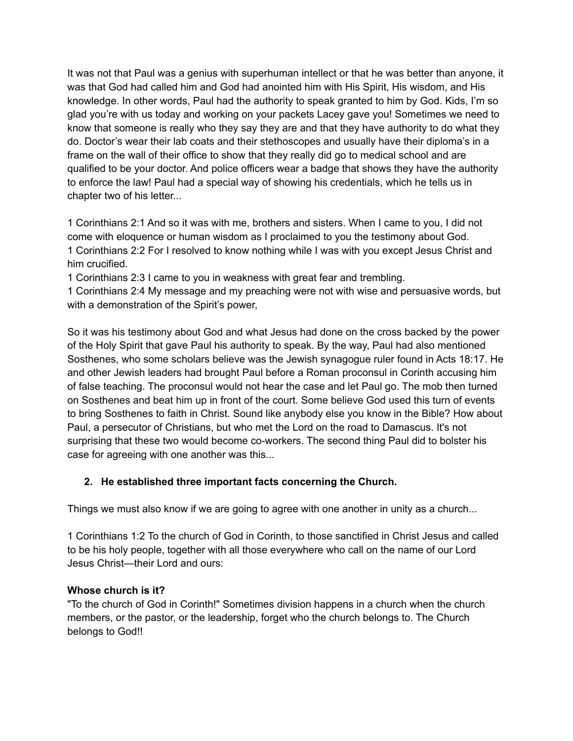It was not that Paul was a genius with superhuman intellect or that he was better than anyone, it was that God had called him and God had anointed him with His Spirit, His wisdom, and His knowledge. In other words, Paul had the authority to speak granted to him by God. Kids, I'm so glad you're with us today and working on your packets Lacey gave you! Sometimes we need to know that someone is really who they say they are and that they have authority to do what they do. Doctor's wear their lab coats and their stethoscopes and usually have their diploma's in a frame on the wall of their office to show that they really did go to medical school and are qualified to be your doctor. And police officers wear a badge that shows they have the authority to enforce the law! Paul had a special way of showing his credentials, which he tells us in chapter two of his letter...

1 Corinthians 2:1 And so it was with me, brothers and sisters. When I came to you, I did not come with eloquence or human wisdom as I proclaimed to you the testimony about God. 1 Corinthians 2:2 For I resolved to know nothing while I was with you except Jesus Christ and him crucified.

1 Corinthians 2:3 I came to you in weakness with great fear and trembling.

1 Corinthians 2:4 My message and my preaching were not with wise and persuasive words, but with a demonstration of the Spirit's power,

So it was his testimony about God and what Jesus had done on the cross backed by the power of the Holy Spirit that gave Paul his authority to speak. By the way, Paul had also mentioned Sosthenes, who some scholars believe was the Jewish synagogue ruler found in Acts 18:17. He and other Jewish leaders had brought Paul before a Roman proconsul in Corinth accusing him of false teaching. The proconsul would not hear the case and let Paul go. The mob then turned on Sosthenes and beat him up in front of the court. Some believe God used this turn of events to bring Sosthenes to faith in Christ. Sound like anybody else you know in the Bible? How about Paul, a persecutor of Christians, but who met the Lord on the road to Damascus. It's not surprising that these two would become co-workers. The second thing Paul did to bolster his case for agreeing with one another was this...

#### **2. He established three important facts concerning the Church.**

Things we must also know if we are going to agree with one another in unity as a church...

1 Corinthians 1:2 To the church of God in Corinth, to those sanctified in Christ Jesus and called to be his holy people, together with all those everywhere who call on the name of our Lord Jesus Christ—their Lord and ours:

#### **Whose church is it?**

"To the church of God in Corinth!" Sometimes division happens in a church when the church members, or the pastor, or the leadership, forget who the church belongs to. The Church belongs to God!!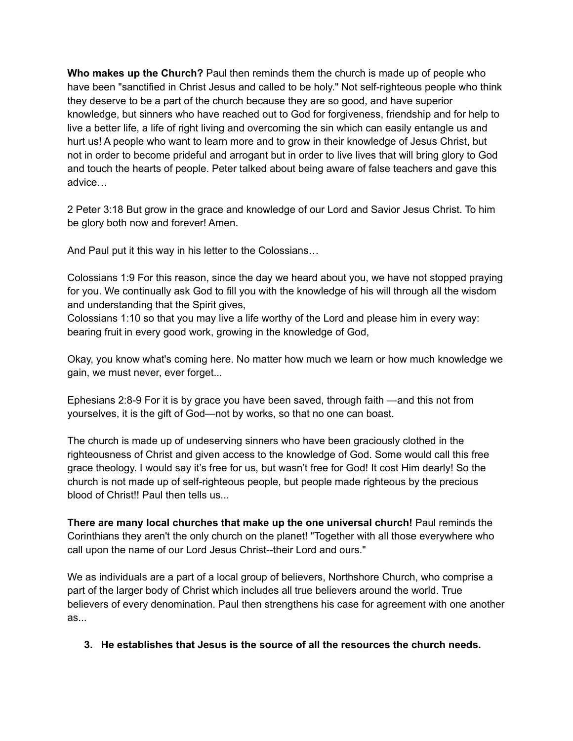**Who makes up the Church?** Paul then reminds them the church is made up of people who have been "sanctified in Christ Jesus and called to be holy." Not self-righteous people who think they deserve to be a part of the church because they are so good, and have superior knowledge, but sinners who have reached out to God for forgiveness, friendship and for help to live a better life, a life of right living and overcoming the sin which can easily entangle us and hurt us! A people who want to learn more and to grow in their knowledge of Jesus Christ, but not in order to become prideful and arrogant but in order to live lives that will bring glory to God and touch the hearts of people. Peter talked about being aware of false teachers and gave this advice…

2 Peter 3:18 But grow in the grace and knowledge of our Lord and Savior Jesus Christ. To him be glory both now and forever! Amen.

And Paul put it this way in his letter to the Colossians…

Colossians 1:9 For this reason, since the day we heard about you, we have not stopped praying for you. We continually ask God to fill you with the knowledge of his will through all the wisdom and understanding that the Spirit gives,

Colossians 1:10 so that you may live a life worthy of the Lord and please him in every way: bearing fruit in every good work, growing in the knowledge of God,

Okay, you know what's coming here. No matter how much we learn or how much knowledge we gain, we must never, ever forget...

Ephesians 2:8-9 For it is by grace you have been saved, through faith —and this not from yourselves, it is the gift of God—not by works, so that no one can boast.

The church is made up of undeserving sinners who have been graciously clothed in the righteousness of Christ and given access to the knowledge of God. Some would call this free grace theology. I would say it's free for us, but wasn't free for God! It cost Him dearly! So the church is not made up of self-righteous people, but people made righteous by the precious blood of Christ!! Paul then tells us...

**There are many local churches that make up the one universal church!** Paul reminds the Corinthians they aren't the only church on the planet! "Together with all those everywhere who call upon the name of our Lord Jesus Christ--their Lord and ours."

We as individuals are a part of a local group of believers, Northshore Church, who comprise a part of the larger body of Christ which includes all true believers around the world. True believers of every denomination. Paul then strengthens his case for agreement with one another as...

**3. He establishes that Jesus is the source of all the resources the church needs.**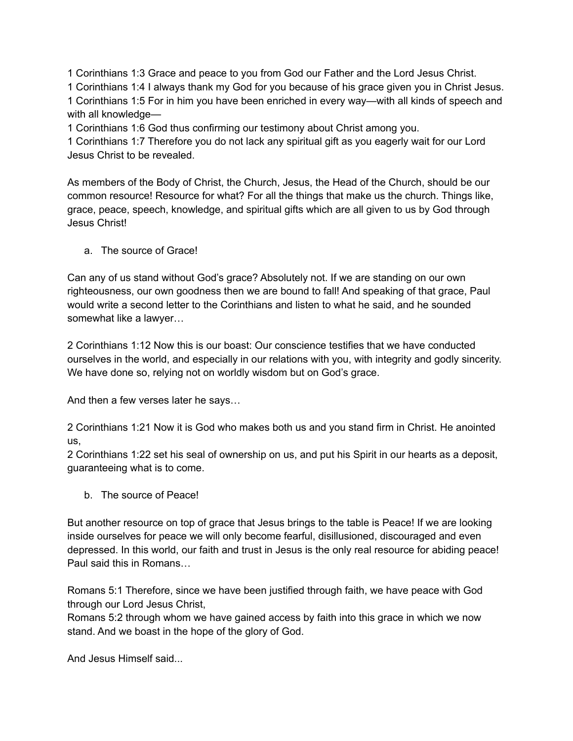1 Corinthians 1:3 Grace and peace to you from God our Father and the Lord Jesus Christ.

1 Corinthians 1:4 I always thank my God for you because of his grace given you in Christ Jesus.

1 Corinthians 1:5 For in him you have been enriched in every way—with all kinds of speech and with all knowledge-

1 Corinthians 1:6 God thus confirming our testimony about Christ among you.

1 Corinthians 1:7 Therefore you do not lack any spiritual gift as you eagerly wait for our Lord Jesus Christ to be revealed.

As members of the Body of Christ, the Church, Jesus, the Head of the Church, should be our common resource! Resource for what? For all the things that make us the church. Things like, grace, peace, speech, knowledge, and spiritual gifts which are all given to us by God through Jesus Christ!

a. The source of Grace!

Can any of us stand without God's grace? Absolutely not. If we are standing on our own righteousness, our own goodness then we are bound to fall! And speaking of that grace, Paul would write a second letter to the Corinthians and listen to what he said, and he sounded somewhat like a lawyer…

2 Corinthians 1:12 Now this is our boast: Our conscience testifies that we have conducted ourselves in the world, and especially in our relations with you, with integrity and godly sincerity. We have done so, relying not on worldly wisdom but on God's grace.

And then a few verses later he says…

2 Corinthians 1:21 Now it is God who makes both us and you stand firm in Christ. He anointed us,

2 Corinthians 1:22 set his seal of ownership on us, and put his Spirit in our hearts as a deposit, guaranteeing what is to come.

b. The source of Peace!

But another resource on top of grace that Jesus brings to the table is Peace! If we are looking inside ourselves for peace we will only become fearful, disillusioned, discouraged and even depressed. In this world, our faith and trust in Jesus is the only real resource for abiding peace! Paul said this in Romans…

Romans 5:1 Therefore, since we have been justified through faith, we have peace with God through our Lord Jesus Christ,

Romans 5:2 through whom we have gained access by faith into this grace in which we now stand. And we boast in the hope of the glory of God.

And Jesus Himself said...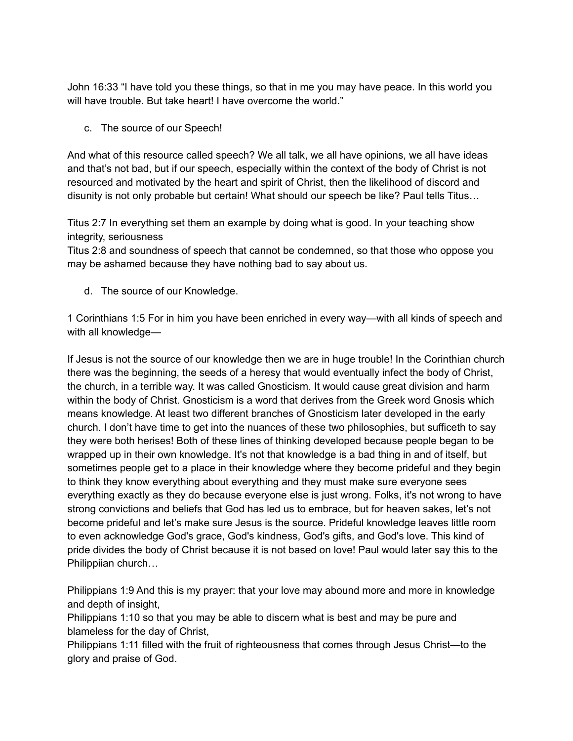John 16:33 "I have told you these things, so that in me you may have peace. In this world you will have trouble. But take heart! I have overcome the world."

c. The source of our Speech!

And what of this resource called speech? We all talk, we all have opinions, we all have ideas and that's not bad, but if our speech, especially within the context of the body of Christ is not resourced and motivated by the heart and spirit of Christ, then the likelihood of discord and disunity is not only probable but certain! What should our speech be like? Paul tells Titus…

Titus 2:7 In everything set them an example by doing what is good. In your teaching show integrity, seriousness

Titus 2:8 and soundness of speech that cannot be condemned, so that those who oppose you may be ashamed because they have nothing bad to say about us.

d. The source of our Knowledge.

1 Corinthians 1:5 For in him you have been enriched in every way—with all kinds of speech and with all knowledge—

If Jesus is not the source of our knowledge then we are in huge trouble! In the Corinthian church there was the beginning, the seeds of a heresy that would eventually infect the body of Christ, the church, in a terrible way. It was called Gnosticism. It would cause great division and harm within the body of Christ. Gnosticism is a word that derives from the Greek word Gnosis which means knowledge. At least two different branches of Gnosticism later developed in the early church. I don't have time to get into the nuances of these two philosophies, but sufficeth to say they were both herises! Both of these lines of thinking developed because people began to be wrapped up in their own knowledge. It's not that knowledge is a bad thing in and of itself, but sometimes people get to a place in their knowledge where they become prideful and they begin to think they know everything about everything and they must make sure everyone sees everything exactly as they do because everyone else is just wrong. Folks, it's not wrong to have strong convictions and beliefs that God has led us to embrace, but for heaven sakes, let's not become prideful and let's make sure Jesus is the source. Prideful knowledge leaves little room to even acknowledge God's grace, God's kindness, God's gifts, and God's love. This kind of pride divides the body of Christ because it is not based on love! Paul would later say this to the Philippiian church…

Philippians 1:9 And this is my prayer: that your love may abound more and more in knowledge and depth of insight,

Philippians 1:10 so that you may be able to discern what is best and may be pure and blameless for the day of Christ,

Philippians 1:11 filled with the fruit of righteousness that comes through Jesus Christ—to the glory and praise of God.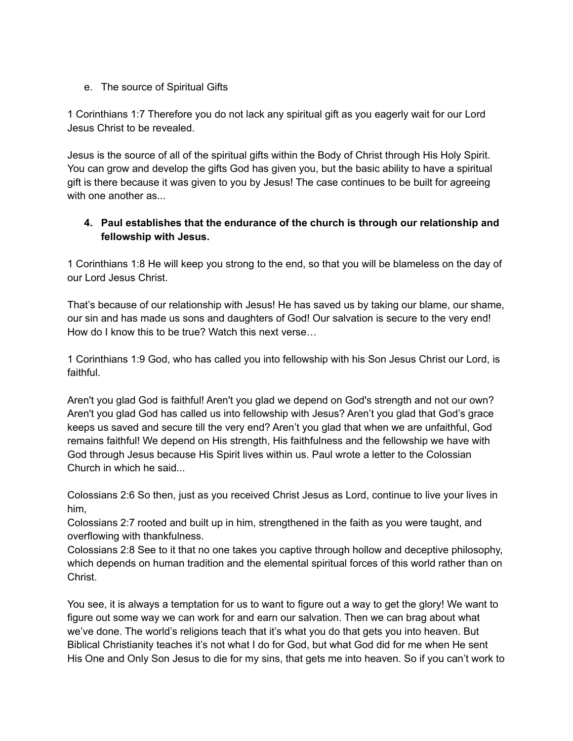#### e. The source of Spiritual Gifts

1 Corinthians 1:7 Therefore you do not lack any spiritual gift as you eagerly wait for our Lord Jesus Christ to be revealed.

Jesus is the source of all of the spiritual gifts within the Body of Christ through His Holy Spirit. You can grow and develop the gifts God has given you, but the basic ability to have a spiritual gift is there because it was given to you by Jesus! The case continues to be built for agreeing with one another as.

### **4. Paul establishes that the endurance of the church is through our relationship and fellowship with Jesus.**

1 Corinthians 1:8 He will keep you strong to the end, so that you will be blameless on the day of our Lord Jesus Christ.

That's because of our relationship with Jesus! He has saved us by taking our blame, our shame, our sin and has made us sons and daughters of God! Our salvation is secure to the very end! How do I know this to be true? Watch this next verse…

1 Corinthians 1:9 God, who has called you into fellowship with his Son Jesus Christ our Lord, is faithful.

Aren't you glad God is faithful! Aren't you glad we depend on God's strength and not our own? Aren't you glad God has called us into fellowship with Jesus? Aren't you glad that God's grace keeps us saved and secure till the very end? Aren't you glad that when we are unfaithful, God remains faithful! We depend on His strength, His faithfulness and the fellowship we have with God through Jesus because His Spirit lives within us. Paul wrote a letter to the Colossian Church in which he said...

Colossians 2:6 So then, just as you received Christ Jesus as Lord, continue to live your lives in him,

Colossians 2:7 rooted and built up in him, strengthened in the faith as you were taught, and overflowing with thankfulness.

Colossians 2:8 See to it that no one takes you captive through hollow and deceptive philosophy, which depends on human tradition and the elemental spiritual forces of this world rather than on Christ.

You see, it is always a temptation for us to want to figure out a way to get the glory! We want to figure out some way we can work for and earn our salvation. Then we can brag about what we've done. The world's religions teach that it's what you do that gets you into heaven. But Biblical Christianity teaches it's not what I do for God, but what God did for me when He sent His One and Only Son Jesus to die for my sins, that gets me into heaven. So if you can't work to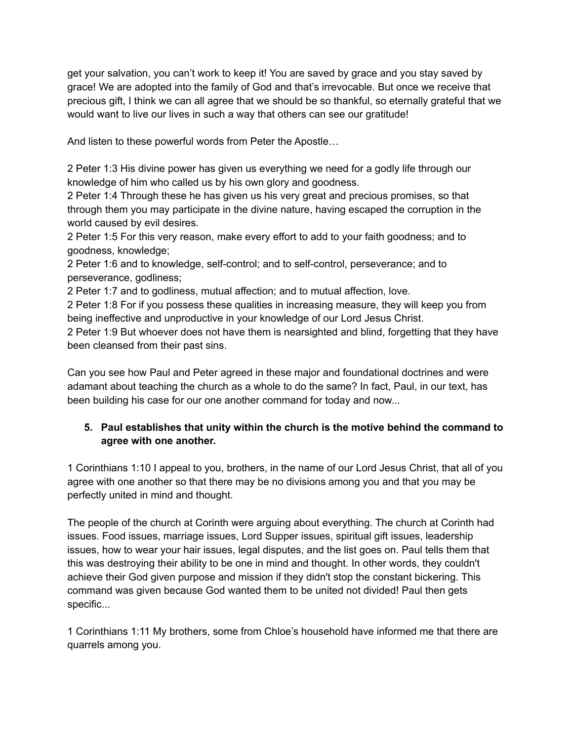get your salvation, you can't work to keep it! You are saved by grace and you stay saved by grace! We are adopted into the family of God and that's irrevocable. But once we receive that precious gift, I think we can all agree that we should be so thankful, so eternally grateful that we would want to live our lives in such a way that others can see our gratitude!

And listen to these powerful words from Peter the Apostle…

2 Peter 1:3 His divine power has given us everything we need for a godly life through our knowledge of him who called us by his own glory and goodness.

2 Peter 1:4 Through these he has given us his very great and precious promises, so that through them you may participate in the divine nature, having escaped the corruption in the world caused by evil desires.

2 Peter 1:5 For this very reason, make every effort to add to your faith goodness; and to goodness, knowledge;

2 Peter 1:6 and to knowledge, self-control; and to self-control, perseverance; and to perseverance, godliness;

2 Peter 1:7 and to godliness, mutual affection; and to mutual affection, love.

2 Peter 1:8 For if you possess these qualities in increasing measure, they will keep you from being ineffective and unproductive in your knowledge of our Lord Jesus Christ.

2 Peter 1:9 But whoever does not have them is nearsighted and blind, forgetting that they have been cleansed from their past sins.

Can you see how Paul and Peter agreed in these major and foundational doctrines and were adamant about teaching the church as a whole to do the same? In fact, Paul, in our text, has been building his case for our one another command for today and now...

## **5. Paul establishes that unity within the church is the motive behind the command to agree with one another.**

1 Corinthians 1:10 I appeal to you, brothers, in the name of our Lord Jesus Christ, that all of you agree with one another so that there may be no divisions among you and that you may be perfectly united in mind and thought.

The people of the church at Corinth were arguing about everything. The church at Corinth had issues. Food issues, marriage issues, Lord Supper issues, spiritual gift issues, leadership issues, how to wear your hair issues, legal disputes, and the list goes on. Paul tells them that this was destroying their ability to be one in mind and thought. In other words, they couldn't achieve their God given purpose and mission if they didn't stop the constant bickering. This command was given because God wanted them to be united not divided! Paul then gets specific...

1 Corinthians 1:11 My brothers, some from Chloe's household have informed me that there are quarrels among you.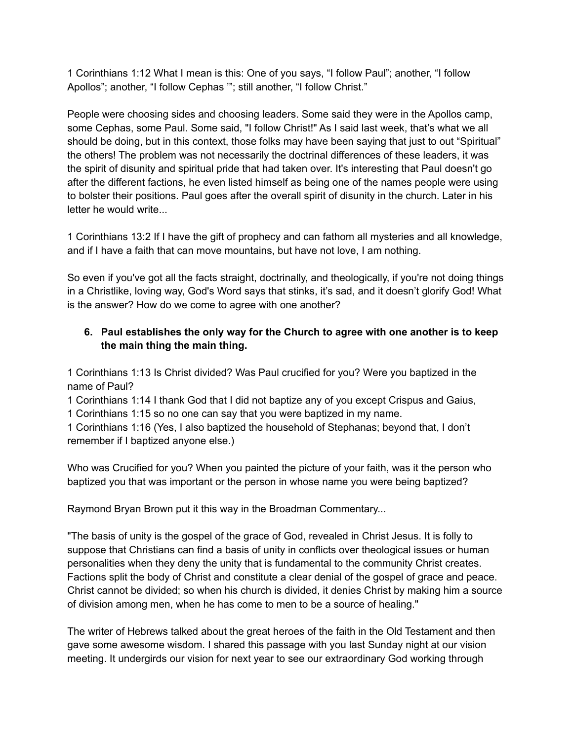1 Corinthians 1:12 What I mean is this: One of you says, "I follow Paul"; another, "I follow Apollos"; another, "I follow Cephas '"; still another, "I follow Christ."

People were choosing sides and choosing leaders. Some said they were in the Apollos camp, some Cephas, some Paul. Some said, "I follow Christ!" As I said last week, that's what we all should be doing, but in this context, those folks may have been saying that just to out "Spiritual" the others! The problem was not necessarily the doctrinal differences of these leaders, it was the spirit of disunity and spiritual pride that had taken over. It's interesting that Paul doesn't go after the different factions, he even listed himself as being one of the names people were using to bolster their positions. Paul goes after the overall spirit of disunity in the church. Later in his letter he would write...

1 Corinthians 13:2 If I have the gift of prophecy and can fathom all mysteries and all knowledge, and if I have a faith that can move mountains, but have not love, I am nothing.

So even if you've got all the facts straight, doctrinally, and theologically, if you're not doing things in a Christlike, loving way, God's Word says that stinks, it's sad, and it doesn't glorify God! What is the answer? How do we come to agree with one another?

## **6. Paul establishes the only way for the Church to agree with one another is to keep the main thing the main thing.**

1 Corinthians 1:13 Is Christ divided? Was Paul crucified for you? Were you baptized in the name of Paul?

1 Corinthians 1:14 I thank God that I did not baptize any of you except Crispus and Gaius,

1 Corinthians 1:15 so no one can say that you were baptized in my name.

1 Corinthians 1:16 (Yes, I also baptized the household of Stephanas; beyond that, I don't remember if I baptized anyone else.)

Who was Crucified for you? When you painted the picture of your faith, was it the person who baptized you that was important or the person in whose name you were being baptized?

Raymond Bryan Brown put it this way in the Broadman Commentary...

"The basis of unity is the gospel of the grace of God, revealed in Christ Jesus. It is folly to suppose that Christians can find a basis of unity in conflicts over theological issues or human personalities when they deny the unity that is fundamental to the community Christ creates. Factions split the body of Christ and constitute a clear denial of the gospel of grace and peace. Christ cannot be divided; so when his church is divided, it denies Christ by making him a source of division among men, when he has come to men to be a source of healing."

The writer of Hebrews talked about the great heroes of the faith in the Old Testament and then gave some awesome wisdom. I shared this passage with you last Sunday night at our vision meeting. It undergirds our vision for next year to see our extraordinary God working through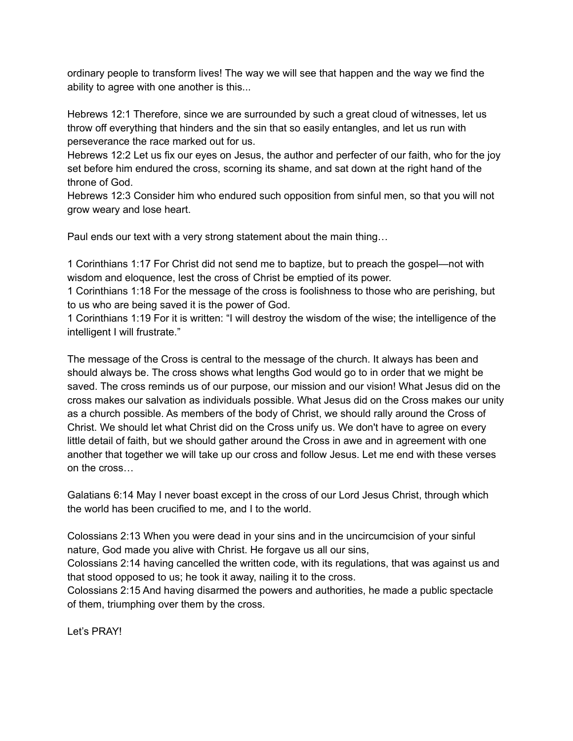ordinary people to transform lives! The way we will see that happen and the way we find the ability to agree with one another is this...

Hebrews 12:1 Therefore, since we are surrounded by such a great cloud of witnesses, let us throw off everything that hinders and the sin that so easily entangles, and let us run with perseverance the race marked out for us.

Hebrews 12:2 Let us fix our eyes on Jesus, the author and perfecter of our faith, who for the joy set before him endured the cross, scorning its shame, and sat down at the right hand of the throne of God.

Hebrews 12:3 Consider him who endured such opposition from sinful men, so that you will not grow weary and lose heart.

Paul ends our text with a very strong statement about the main thing…

1 Corinthians 1:17 For Christ did not send me to baptize, but to preach the gospel—not with wisdom and eloquence, lest the cross of Christ be emptied of its power.

1 Corinthians 1:18 For the message of the cross is foolishness to those who are perishing, but to us who are being saved it is the power of God.

1 Corinthians 1:19 For it is written: "I will destroy the wisdom of the wise; the intelligence of the intelligent I will frustrate."

The message of the Cross is central to the message of the church. It always has been and should always be. The cross shows what lengths God would go to in order that we might be saved. The cross reminds us of our purpose, our mission and our vision! What Jesus did on the cross makes our salvation as individuals possible. What Jesus did on the Cross makes our unity as a church possible. As members of the body of Christ, we should rally around the Cross of Christ. We should let what Christ did on the Cross unify us. We don't have to agree on every little detail of faith, but we should gather around the Cross in awe and in agreement with one another that together we will take up our cross and follow Jesus. Let me end with these verses on the cross…

Galatians 6:14 May I never boast except in the cross of our Lord Jesus Christ, through which the world has been crucified to me, and I to the world.

Colossians 2:13 When you were dead in your sins and in the uncircumcision of your sinful nature, God made you alive with Christ. He forgave us all our sins,

Colossians 2:14 having cancelled the written code, with its regulations, that was against us and that stood opposed to us; he took it away, nailing it to the cross.

Colossians 2:15 And having disarmed the powers and authorities, he made a public spectacle of them, triumphing over them by the cross.

Let's PRAY!